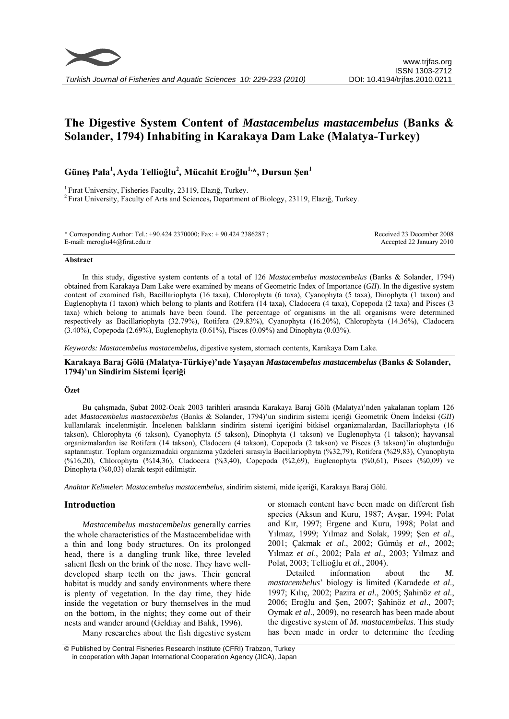

# **The Digestive System Content of** *Mastacembelus mastacembelus* **(Banks & Solander, 1794) Inhabiting in Karakaya Dam Lake (Malatya-Turkey)**

# **Güneş Pala<sup>1</sup> , Ayda Tellioğlu<sup>2</sup> , Mücahit Eroğlu1,\*, Dursun Şen<sup>1</sup>**

1 Fırat University, Fisheries Faculty, 23119, Elazığ, Turkey. 2 Fırat University, Faculty of Arts and Sciences**,** Department of Biology, 23119, Elazığ, Turkey.

\* Corresponding Author: Tel.: +90.424 2370000; Fax: + 90.424 2386287 ; E-mail: meroglu44@firat.edu.tr

Received 23 December 2008 Accepted 22 January 2010

#### **Abstract**

In this study, digestive system contents of a total of 126 *Mastacembelus mastacembelus* (Banks & Solander, 1794) obtained from Karakaya Dam Lake were examined by means of Geometric Index of Importance (*GII*). In the digestive system content of examined fish, Bacillariophyta (16 taxa), Chlorophyta (6 taxa), Cyanophyta (5 taxa), Dinophyta (1 taxon) and Euglenophyta (1 taxon) which belong to plants and Rotifera (14 taxa), Cladocera (4 taxa), Copepoda (2 taxa) and Pisces (3 taxa) which belong to animals have been found. The percentage of organisms in the all organisms were determined respectively as Bacillariophyta (32.79%), Rotifera (29.83%), Cyanophyta (16.20%), Chlorophyta (14.36%), Cladocera (3.40%), Copepoda (2.69%), Euglenophyta (0.61%), Pisces (0.09%) and Dinophyta (0.03%).

*Keywords: Mastacembelus mastacembelus,* digestive system, stomach contents, Karakaya Dam Lake.

## **Karakaya Baraj Gölü (Malatya-Türkiye)'nde Yaşayan** *Mastacembelus mastacembelus* **(Banks & Solander, 1794)'un Sindirim Sistemi İçeriği**

#### **Özet**

Bu çalışmada, Şubat 2002-Ocak 2003 tarihleri arasında Karakaya Baraj Gölü (Malatya)'nden yakalanan toplam 126 adet *Mastacembelus mastacembelus* (Banks & Solander, 1794)'un sindirim sistemi içeriği Geometrik Önem İndeksi (*GII*) kullanılarak incelenmiştir. İncelenen balıkların sindirim sistemi içeriğini bitkisel organizmalardan, Bacillariophyta (16 takson), Chlorophyta (6 takson), Cyanophyta (5 takson), Dinophyta (1 takson) ve Euglenophyta (1 takson); hayvansal organizmalardan ise Rotifera (14 takson), Cladocera (4 takson), Copepoda (2 takson) ve Pisces (3 takson)'in oluşturduğu saptanmıştır. Toplam organizmadaki organizma yüzdeleri sırasıyla Bacillariophyta (%32,79), Rotifera (%29,83), Cyanophyta (%16,20), Chlorophyta (%14,36), Cladocera (%3,40), Copepoda (%2,69), Euglenophyta (%0,61), Pisces (%0,09) ve Dinophyta (%0,03) olarak tespit edilmiştir.

*Anahtar Kelimeler*: *Mastacembelus mastacembelus*, sindirim sistemi, mide içeriği, Karakaya Baraj Gölü.

### **Introduction**

*Mastacembelus mastacembelus* generally carries the whole characteristics of the Mastacembelidae with a thin and long body structures. On its prolonged head, there is a dangling trunk like, three leveled salient flesh on the brink of the nose. They have welldeveloped sharp teeth on the jaws. Their general habitat is muddy and sandy environments where there is plenty of vegetation. In the day time, they hide inside the vegetation or bury themselves in the mud on the bottom, in the nights; they come out of their nests and wander around (Geldiay and Balık, 1996).

or stomach content have been made on different fish species (Aksun and Kuru, 1987; Avşar, 1994; Polat and Kır, 1997; Ergene and Kuru, 1998; Polat and Yılmaz, 1999; Yılmaz and Solak, 1999; Şen *et al*., 2001; Çakmak *et al*., 2002; Gümüş *et al*., 2002; Yılmaz *et al*., 2002; Pala *et al*., 2003; Yılmaz and Polat, 2003; Tellioğlu *et al*., 2004).

Detailed information about the *M. mastacembelus*' biology is limited (Karadede *et al*., 1997; Kılıç, 2002; Pazira *et al*., 2005; Şahinöz *et al*., 2006; Eroğlu and Şen, 2007; Şahinöz *et al*., 2007; Oymak *et al*., 2009), no research has been made about the digestive system of *M. mastacembelus*. This study has been made in order to determine the feeding

Many researches about the fish digestive system

 © Published by Central Fisheries Research Institute (CFRI) Trabzon, Turkey in cooperation with Japan International Cooperation Agency (JICA), Japan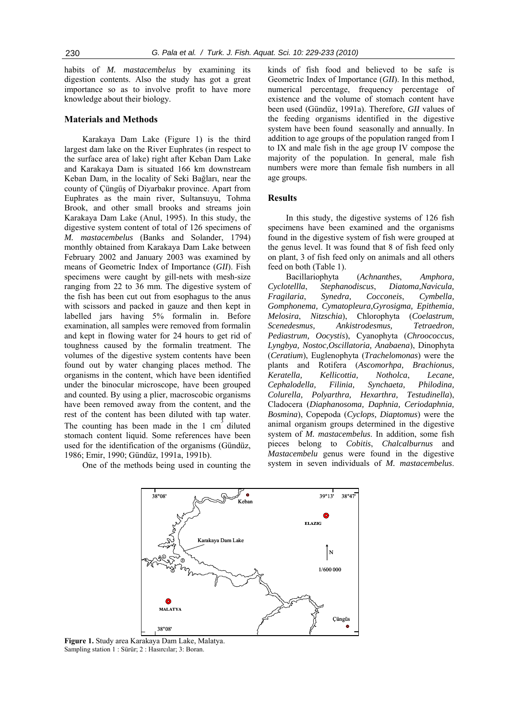habits of *M. mastacembelus* by examining its digestion contents. Also the study has got a great importance so as to involve profit to have more knowledge about their biology.

# **Materials and Methods**

Karakaya Dam Lake (Figure 1) is the third largest dam lake on the River Euphrates (in respect to the surface area of lake) right after Keban Dam Lake and Karakaya Dam is situated 166 km downstream Keban Dam, in the locality of Seki Bağları, near the county of Çüngüş of Diyarbakır province. Apart from Euphrates as the main river, Sultansuyu, Tohma Brook, and other small brooks and streams join Karakaya Dam Lake (Anul, 1995). In this study, the digestive system content of total of 126 specimens of *M. mastacembelus* (Banks and Solander, 1794) monthly obtained from Karakaya Dam Lake between February 2002 and January 2003 was examined by means of Geometric Index of Importance (*GII*). Fish specimens were caught by gill-nets with mesh-size ranging from 22 to 36 mm. The digestive system of the fish has been cut out from esophagus to the anus with scissors and packed in gauze and then kept in labelled jars having 5% formalin in. Before examination, all samples were removed from formalin and kept in flowing water for 24 hours to get rid of toughness caused by the formalin treatment. The volumes of the digestive system contents have been found out by water changing places method. The organisms in the content, which have been identified under the binocular microscope, have been grouped and counted. By using a plier, macroscobic organisms have been removed away from the content, and the rest of the content has been diluted with tap water. The counting has been made in the 1  $cm<sup>3</sup>$  diluted stomach content liquid. Some references have been used for the identification of the organisms (Gündüz, 1986; Emir, 1990; Gündüz, 1991a, 1991b).

One of the methods being used in counting the

kinds of fish food and believed to be safe is Geometric Index of Importance (*GII*). In this method, numerical percentage, frequency percentage of existence and the volume of stomach content have been used (Gündüz, 1991a). Therefore, *GII* values of the feeding organisms identified in the digestive system have been found seasonally and annually. In addition to age groups of the population ranged from I to IX and male fish in the age group IV compose the majority of the population. In general, male fish numbers were more than female fish numbers in all age groups.

### **Results**

In this study, the digestive systems of 126 fish specimens have been examined and the organisms found in the digestive system of fish were grouped at the genus level. It was found that 8 of fish feed only on plant, 3 of fish feed only on animals and all others feed on both (Table 1).

Bacillariophyta (*Achnanthes*, *Amphora, Cyclotellla*, *Stephanodiscus*, *Diatoma,Navicula, Fragilaria*, *Synedra, Cocconeis*, *Cymbella, Gomphonema, Cymatopleura,Gyrosigma, Epithemia, Melosira*, *Nitzschia*), Chlorophyta (*Coelastrum, Scenedesmus, Ankistrodesmus, Tetraedron, Pediastrum, Oocystis*), Cyanophyta (*Chroococcus, Lyngbya, Nostoc,Oscillatoria, Anabaena*), Dinophyta (*Ceratium*), Euglenophyta (*Trachelomonas*) were the plants and Rotifera (*Ascomorhpa, Brachionus, Keratella, Kellicottia, Notholca*, *Lecane, Cephalodella, Filinia, Synchaeta, Philodina, Colurella, Polyarthra, Hexarthra, Testudinella*), Cladocera (*Diaphanosoma, Daphnia, Ceriodaphnia, Bosmina*), Copepoda (*Cyclops, Diaptomus*) were the animal organism groups determined in the digestive system of *M. mastacembelus*. In addition, some fish pieces belong to *Cobitis*, *Chalcalburnus* and *Mastacembelu* genus were found in the digestive system in seven individuals of *M. mastacembelus*.



**Figure 1.** Study area Karakaya Dam Lake, Malatya. Sampling station 1 : Sürür; 2 : Hasırcılar; 3: Boran.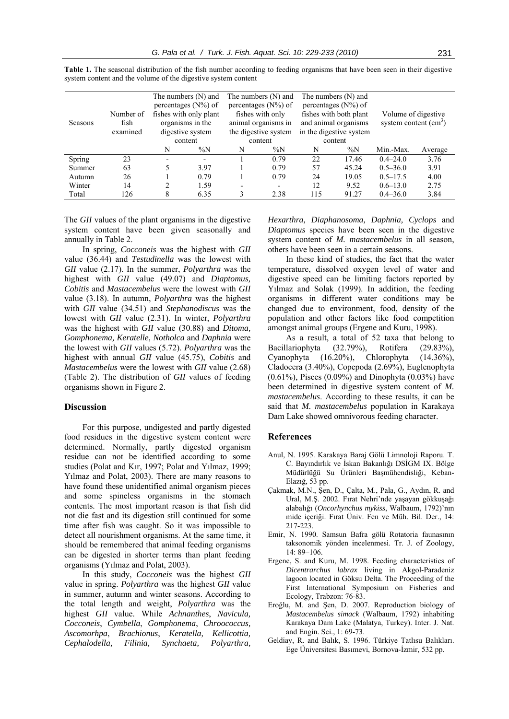|                |                                                 | The numbers (N) and    |       | The numbers $(N)$ and<br>percentages $(N\%)$ of |                          | The numbers (N) and<br>percentages $(N\%)$ of |       |                     |         |
|----------------|-------------------------------------------------|------------------------|-------|-------------------------------------------------|--------------------------|-----------------------------------------------|-------|---------------------|---------|
|                | percentages $(N\%)$ of                          |                        |       |                                                 |                          |                                               |       | Volume of digestive |         |
|                | Number of                                       | fishes with only plant |       | fishes with only                                |                          | fishes with both plant                        |       |                     |         |
| <b>Seasons</b> | organisms in the<br>animal organisms in<br>fish |                        |       | and animal organisms                            |                          | system content $(cm3)$                        |       |                     |         |
|                | examined                                        | digestive system       |       | the digestive system                            |                          | in the digestive system                       |       |                     |         |
|                |                                                 | content                |       | content                                         |                          | content                                       |       |                     |         |
|                |                                                 | N                      | $\%N$ | N                                               | $\%N$                    | N                                             | $\%N$ | Min.-Max.           | Average |
| Spring         | 23                                              |                        |       |                                                 | 0.79                     | 22                                            | 17.46 | $0.4 - 24.0$        | 3.76    |
| Summer         | 63                                              |                        | 3.97  |                                                 | 0.79                     | 57                                            | 45.24 | $0.5 - 36.0$        | 3.91    |
| Autumn         | 26                                              |                        | 0.79  |                                                 | 0.79                     | 24                                            | 19.05 | $0.5 - 17.5$        | 4.00    |
| Winter         | 14                                              |                        | 1.59  |                                                 | $\overline{\phantom{a}}$ | 12                                            | 9.52  | $0.6 - 13.0$        | 2.75    |
| Total          | 126                                             | 8                      | 6.35  |                                                 | 2.38                     | 115                                           | 91.27 | $0.4 - 36.0$        | 3.84    |

Table 1. The seasonal distribution of the fish number according to feeding organisms that have been seen in their digestive system content and the volume of the digestive system content

The *GII* values of the plant organisms in the digestive system content have been given seasonally and annually in Table 2.

In spring, *Cocconeis* was the highest with *GII* value (36.44) and *Testudinella* was the lowest with *GII* value (2.17). In the summer, *Polyarthra* was the highest with *GII* value (49.07) and *Diaptomus, Cobitis* and *Mastacembelus* were the lowest with *GII* value (3.18). In autumn, *Polyarthra* was the highest with *GII* value (34.51) and *Stephanodiscus* was the lowest with *GII* value (2.31). In winter, *Polyarthra* was the highest with *GII* value (30.88) and *Ditoma, Gomphonema, Keratelle, Notholca* and *Daphnia* were the lowest with *GII* values (5.72). *Polyarthra* was the highest with annual *GII* value (45.75), *Cobitis* and *Mastacembelus* were the lowest with *GII* value (2.68) (Table 2). The distribution of *GII* values of feeding organisms shown in Figure 2.

### **Discussion**

For this purpose, undigested and partly digested food residues in the digestive system content were determined. Normally, partly digested organism residue can not be identified according to some studies (Polat and Kır, 1997; Polat and Yılmaz, 1999; Yılmaz and Polat, 2003). There are many reasons to have found these unidentified animal organism pieces and some spineless organisms in the stomach contents. The most important reason is that fish did not die fast and its digestion still continued for some time after fish was caught. So it was impossible to detect all nourishment organisms. At the same time, it should be remembered that animal feeding organisms can be digested in shorter terms than plant feeding organisms (Yılmaz and Polat, 2003).

In this study, *Cocconeis* was the highest *GII* value in spring. *Polyarthra* was the highest *GII* value in summer, autumn and winter seasons. According to the total length and weight, *Polyarthra* was the highest *GII* value. While *Achnanthes*, *Navicula, Cocconeis*, *Cymbella*, *Gomphonema*, *Chroococcus, Ascomorhpa*, *Brachionus*, *Keratella, Kellicottia, Cephalodella, Filinia, Synchaeta, Polyarthra,*  *Hexarthra, Diaphanosoma, Daphnia, Cyclops* and *Diaptomus* species have been seen in the digestive system content of *M. mastacembelus* in all season, others have been seen in a certain seasons.

In these kind of studies, the fact that the water temperature, dissolved oxygen level of water and digestive speed can be limiting factors reported by Yılmaz and Solak (1999). In addition, the feeding organisms in different water conditions may be changed due to environment, food, density of the population and other factors like food competition amongst animal groups (Ergene and Kuru, 1998).

As a result, a total of 52 taxa that belong to Bacillariophyta (32.79%), Rotifera (29.83%), Cyanophyta (16.20%), Chlorophyta (14.36%), Cladocera (3.40%), Copepoda (2.69%), Euglenophyta (0.61%), Pisces (0.09%) and Dinophyta (0.03%) have been determined in digestive system content of *M. mastacembelus*. According to these results, it can be said that *M. mastacembelus* population in Karakaya Dam Lake showed omnivorous feeding character.

#### **References**

- Anul, N. 1995. Karakaya Baraj Gölü Limnoloji Raporu. T. C. Bayındırlık ve İskan Bakanlığı DSİGM IX. Bölge Müdürlüğü Su Ürünleri Başmühendisliği, Keban-Elazığ, 53 pp.
- Çakmak, M.N., Şen, D., Çalta, M., Pala, G., Aydın, R. and Ural, M.Ş. 2002. Fırat Nehri'nde yaşayan gökkuşağı alabalığı (*Oncorhynchus mykiss*, Walbaum, 1792)'nın mide içeriği. Fırat Üniv. Fen ve Müh. Bil. Der., 14: 217-223.
- Emir, N. 1990. Samsun Bafra gölü Rotatoria faunasının taksonomik yönden incelenmesi. Tr. J. of Zoology, 14: 89–106.
- Ergene, S. and Kuru, M. 1998. Feeding characteristics of *Dicentrarchus labrax* living in Akgol-Paradeniz lagoon located in Göksu Delta. The Proceeding of the First International Symposium on Fisheries and Ecology, Trabzon: 76-83.
- Eroğlu, M. and Şen, D. 2007. Reproduction biology of *Mastacembelus simack* (Walbaum, 1792) inhabiting Karakaya Dam Lake (Malatya, Turkey). Inter. J. Nat. and Engin. Sci., 1: 69-73.
- Geldiay, R. and Balık, S. 1996. Türkiye Tatlısu Balıkları. Ege Üniversitesi Basımevi, Bornova-İzmir, 532 pp.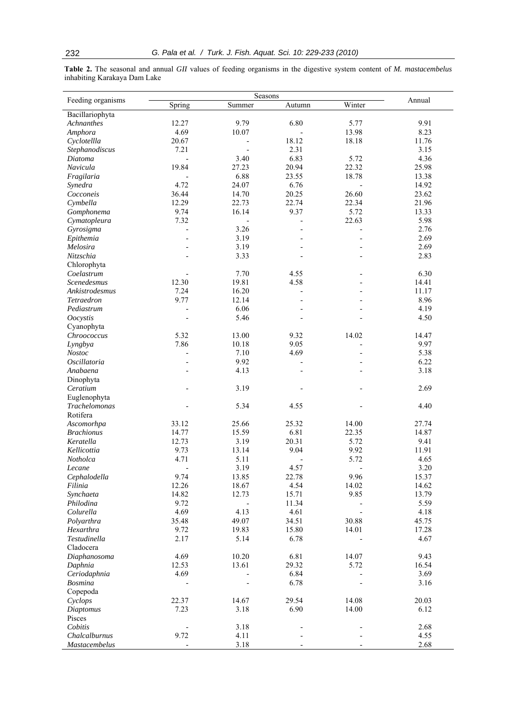**Table 2.** The seasonal and annual *GII* values of feeding organisms in the digestive system content of *M. mastacembelus* inhabiting Karakaya Dam Lake

| Feeding organisms    |                          | Annual                   |                          |                          |       |
|----------------------|--------------------------|--------------------------|--------------------------|--------------------------|-------|
|                      | Spring                   | Seasons<br>Summer        | Autumn                   | Winter                   |       |
| Bacillariophyta      |                          |                          |                          |                          |       |
| Achnanthes           | 12.27                    | 9.79                     | 6.80                     | 5.77                     | 9.91  |
| Amphora              | 4.69                     | 10.07                    |                          | 13.98                    | 8.23  |
| Cyclotellla          | 20.67                    |                          | 18.12                    | 18.18                    | 11.76 |
| Stephanodiscus       | 7.21                     | $\overline{\phantom{a}}$ | 2.31                     |                          | 3.15  |
| Diatoma              |                          | 3.40                     | 6.83                     | 5.72                     | 4.36  |
| Navicula             | 19.84                    | 27.23                    | 20.94                    | 22.32                    | 25.98 |
|                      |                          | 6.88                     | 23.55                    | 18.78                    | 13.38 |
| Fragilaria           | 4.72                     |                          |                          |                          | 14.92 |
| Synedra              |                          | 24.07                    | 6.76                     |                          |       |
| Cocconeis            | 36.44                    | 14.70                    | 20.25                    | 26.60                    | 23.62 |
| Cymbella             | 12.29                    | 22.73                    | 22.74                    | 22.34                    | 21.96 |
| Gomphonema           | 9.74                     | 16.14                    | 9.37                     | 5.72                     | 13.33 |
| Cymatopleura         | 7.32                     |                          |                          | 22.63                    | 5.98  |
| Gyrosigma            | $\overline{\phantom{0}}$ | 3.26                     | $\overline{a}$           |                          | 2.76  |
| Epithemia            |                          | 3.19                     |                          |                          | 2.69  |
| Melosira             |                          | 3.19                     |                          |                          | 2.69  |
| Nitzschia            |                          | 3.33                     |                          |                          | 2.83  |
| Chlorophyta          |                          |                          |                          |                          |       |
| Coelastrum           |                          | 7.70                     | 4.55                     |                          | 6.30  |
| Scenedesmus          | 12.30                    | 19.81                    | 4.58                     |                          | 14.41 |
| Ankistrodesmus       | 7.24                     | 16.20                    | $\overline{\phantom{0}}$ |                          | 11.17 |
| Tetraedron           | 9.77                     | 12.14                    |                          |                          | 8.96  |
| Pediastrum           | $\frac{1}{2}$            | 6.06                     |                          |                          | 4.19  |
| <b>Oocystis</b>      |                          | 5.46                     |                          |                          | 4.50  |
| Cyanophyta           |                          |                          |                          |                          |       |
| Chroococcus          | 5.32                     | 13.00                    | 9.32                     | 14.02                    | 14.47 |
|                      | 7.86                     | 10.18                    | 9.05                     |                          | 9.97  |
| Lyngbya              |                          |                          |                          |                          |       |
| <b>Nostoc</b>        |                          | 7.10                     | 4.69                     |                          | 5.38  |
| <i>Oscillatoria</i>  |                          | 9.92                     |                          |                          | 6.22  |
| Anabaena             |                          | 4.13                     | $\overline{a}$           |                          | 3.18  |
| Dinophyta            |                          |                          |                          |                          |       |
| Ceratium             |                          | 3.19                     |                          |                          | 2.69  |
| Euglenophyta         |                          |                          |                          |                          |       |
| <b>Trachelomonas</b> |                          | 5.34                     | 4.55                     |                          | 4.40  |
| Rotifera             |                          |                          |                          |                          |       |
| Ascomorhpa           | 33.12                    | 25.66                    | 25.32                    | 14.00                    | 27.74 |
| <b>Brachionus</b>    | 14.77                    | 15.59                    | 6.81                     | 22.35                    | 14.87 |
| Keratella            | 12.73                    | 3.19                     | 20.31                    | 5.72                     | 9.41  |
| Kellicottia          | 9.73                     | 13.14                    | 9.04                     | 9.92                     | 11.91 |
| Notholca             | 4.71                     | 5.11                     |                          | 5.72                     | 4.65  |
| Lecane               | ÷,                       | 3.19                     | 4.57                     | $\overline{\phantom{a}}$ | 3.20  |
| Cephalodella         | 9.74                     | 13.85                    | 22.78                    | 9.96                     | 15.37 |
| Filinia              | 12.26                    | 18.67                    | 4.54                     | 14.02                    | 14.62 |
| Synchaeta            | 14.82                    | 12.73                    | 15.71                    | 9.85                     | 13.79 |
| Philodina            | 9.72                     |                          | 11.34                    |                          | 5.59  |
| Colurella            | 4.69                     | 4.13                     | 4.61                     |                          | 4.18  |
| Polyarthra           | 35.48                    | 49.07                    | 34.51                    | 30.88                    | 45.75 |
| Hexarthra            | 9.72                     | 19.83                    | 15.80                    | 14.01                    | 17.28 |
|                      |                          |                          |                          |                          |       |
| Testudinella         | 2.17                     | 5.14                     | 6.78                     |                          | 4.67  |
| Cladocera            |                          |                          |                          |                          |       |
| Diaphanosoma         | 4.69                     | 10.20                    | 6.81                     | 14.07                    | 9.43  |
| Daphnia              | 12.53                    | 13.61                    | 29.32                    | 5.72                     | 16.54 |
| Ceriodaphnia         | 4.69                     |                          | 6.84                     |                          | 3.69  |
| <b>Bosmina</b>       |                          |                          | 6.78                     |                          | 3.16  |
| Copepoda             |                          |                          |                          |                          |       |
| Cyclops              | 22.37                    | 14.67                    | 29.54                    | 14.08                    | 20.03 |
| Diaptomus            | 7.23                     | 3.18                     | 6.90                     | 14.00                    | 6.12  |
| Pisces               |                          |                          |                          |                          |       |
| Cobitis              |                          | 3.18                     |                          |                          | 2.68  |
| Chalcalburnus        | 9.72                     | 4.11                     |                          |                          | 4.55  |
| Mastacembelus        |                          | 3.18                     |                          |                          | 2.68  |